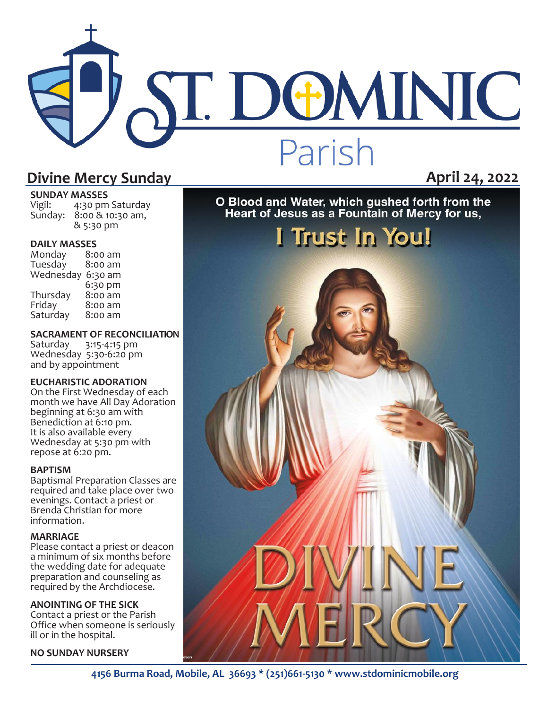# ST. DOMINIC Parish

### **Divine Mercy Sunday April 24, 2022**

### **SUNDAY MASSES**<br>Vigil: 4:30 pm

4:30 pm Saturday Sunday: 8:00 & 10:30 am, & 5:30 pm

**DAILY MASSES**  Monday 8:00 am Tuesday Wednesday 6:30 am 6:30 pm<br>8:00 am Thursday<br>Friday  $8:00$  am<br> $8:00$  am Saturday

### **SACRAMENT OF RECONCILIATION**<br>Saturday 3:15-4:15 pm

Saturday Wednesday 5:30-6:20 pm and by appointment

### **EUCHARISTIC ADORATION**

On the First Wednesday of each month we have All Day Adoration beginning at 6:30 am with Benediction at 6:10 pm. It is also available every Wednesday at 5:30 pm with repose at 6:20 pm.

#### **BAPTISM**

Baptismal Preparation Classes are required and take place over two evenings. Contact a priest or Brenda Christian for more information.

### **MARRIAGE**

Please contact a priest or deacon a minimum of six months before the wedding date for adequate preparation and counseling as required by the Archdiocese.

#### **ANOINTING OF THE SICK**

Contact a priest or the Parish Office when someone is seriously ill or in the hospital.

#### **NO SUNDAY NURSERY**

O Blood and Water, which gushed forth from the<br>Heart of Jesus as a Fountain of Mercy for us,

## I Trust In You!

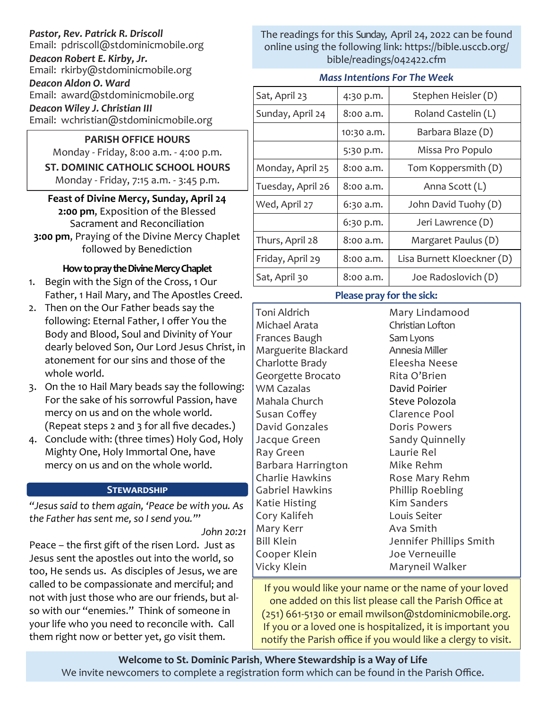### *Pastor, Rev. Patrick R. Driscoll*

Email: pdriscoll@stdominicmobile.org

*Deacon Robert E. Kirby, Jr.* Email: rkirby@stdominicmobile.org

*Deacon Aldon O. Ward* Email: award@stdominicmobile.org

*Deacon Wiley J. Christian III*

Email: wchristian@stdominicmobile.org

### **PARISH OFFICE HOURS**

Monday - Friday, 8:00 a.m. - 4:00 p.m. **ST. DOMINIC CATHOLIC SCHOOL HOURS**  Monday - Friday, 7:15 a.m. - 3:45 p.m.

**Feast of Divine Mercy, Sunday, April 24 2:00 pm**, Exposition of the Blessed Sacrament and Reconciliation **3:00 pm**, Praying of the Divine Mercy Chaplet followed by Benediction

### **How to pray the Divine Mercy Chaplet**

- 1. Begin with the Sign of the Cross, 1 Our Father, 1 Hail Mary, and The Apostles Creed.
- 2. Then on the Our Father beads say the following: Eternal Father, I offer You the Body and Blood, Soul and Divinity of Your dearly beloved Son, Our Lord Jesus Christ, in atonement for our sins and those of the whole world.
- 3. On the 10 Hail Mary beads say the following: For the sake of his sorrowful Passion, have mercy on us and on the whole world. (Repeat steps 2 and 3 for all five decades.)
- 4. Conclude with: (three times) Holy God, Holy Mighty One, Holy Immortal One, have mercy on us and on the whole world.

### **Stewardship**

*"Jesus said to them again, 'Peace be with you. As the Father has sent me, so I send you.'*"

*John 20:21*

Peace – the first gift of the risen Lord. Just as Jesus sent the apostles out into the world, so too, He sends us. As disciples of Jesus, we are called to be compassionate and merciful; and not with just those who are our friends, but also with our "enemies." Think of someone in your life who you need to reconcile with. Call them right now or better yet, go visit them.

The readings for this Sunday, April 24, 2022 can be found online using the following link: https://bible.usccb.org/ bible/readings/042422.cfm

### *Mass Intentions For The Week*

| Sat, April 23     | 4:30 p.m.  | Stephen Heisler (D)        |
|-------------------|------------|----------------------------|
| Sunday, April 24  | 8:00 a.m.  | Roland Castelin (L)        |
|                   | 10:30 a.m. | Barbara Blaze (D)          |
|                   | 5:30 p.m.  | Missa Pro Populo           |
| Monday, April 25  | 8:00 a.m.  | Tom Koppersmith (D)        |
| Tuesday, April 26 | 8:00 a.m.  | Anna Scott (L)             |
| Wed, April 27     | 6:30 a.m.  | John David Tuohy (D)       |
|                   | 6:30 p.m.  | Jeri Lawrence (D)          |
| Thurs, April 28   | 8:00 a.m.  | Margaret Paulus (D)        |
| Friday, April 29  | 8:00 a.m.  | Lisa Burnett Kloeckner (D) |
| Sat, April 30     | 8:00 a.m.  | Joe Radoslovich (D)        |

### **Please pray for the sick:**

Toni Aldrich Michael Arata Frances Baugh Marguerite Blackard Charlotte Brady Georgette Brocato WM Cazalas Mahala Church Susan Coffey David Gonzales Jacque Green Ray Green Barbara Harrington Charlie Hawkins Gabriel Hawkins Katie Histing Cory Kalifeh Mary Kerr Bill Klein Cooper Klein Vicky Klein

Mary Lindamood Christian Lofton Sam Lyons Annesia Miller Eleesha Neese Rita O'Brien David Poirier Steve Polozola Clarence Pool Doris Powers Sandy Quinnelly Laurie Rel Mike Rehm Rose Mary Rehm Phillip Roebling Kim Sanders Louis Seiter Ava Smith Jennifer Phillips Smith Joe Verneuille Maryneil Walker

If you would like your name or the name of your loved one added on this list please call the Parish Office at (251) 661-5130 or email mwilson@stdominicmobile.org. If you or a loved one is hospitalized, it is important you notify the Parish office if you would like a clergy to visit.

**Welcome to St. Dominic Parish**, **Where Stewardship is a Way of Life**  We invite newcomers to complete a registration form which can be found in the Parish Office.